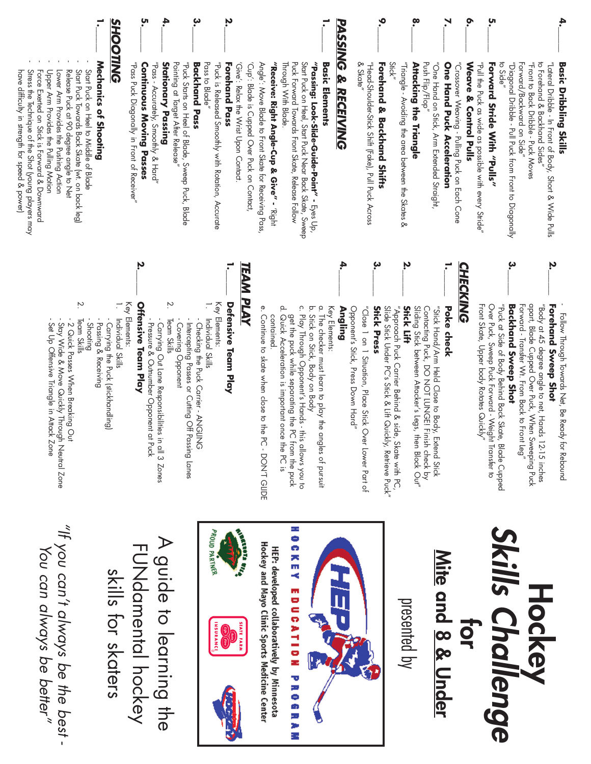|                                                                                                                                                                                                      |                                                  | ຸບາ<br>•                                                                | 4.                                                                |                                                                                       | ب                                      | Ņ                                                                          |                                       |                                                                                                       |                                            |                     |                                                                                                           |                                                                      |                                               | y                                            |                           |                                                     | $\mathbf{e}$                         |                                                    | °.                                        |                                            |                            | ة                                                                       |                                                        | ਲ਼.                                            |                                                                                      |                                     |                                                                                          |                               |
|------------------------------------------------------------------------------------------------------------------------------------------------------------------------------------------------------|--------------------------------------------------|-------------------------------------------------------------------------|-------------------------------------------------------------------|---------------------------------------------------------------------------------------|----------------------------------------|----------------------------------------------------------------------------|---------------------------------------|-------------------------------------------------------------------------------------------------------|--------------------------------------------|---------------------|-----------------------------------------------------------------------------------------------------------|----------------------------------------------------------------------|-----------------------------------------------|----------------------------------------------|---------------------------|-----------------------------------------------------|--------------------------------------|----------------------------------------------------|-------------------------------------------|--------------------------------------------|----------------------------|-------------------------------------------------------------------------|--------------------------------------------------------|------------------------------------------------|--------------------------------------------------------------------------------------|-------------------------------------|------------------------------------------------------------------------------------------|-------------------------------|
| Mechanics of Shooting<br>Lower Arm Provides the Pushing Action<br>Release Puck at 90 degree angle to Net<br>Start Puck on Heel to Middle of Blade<br>Start Puck Towards Back Skate (wt. on back leg) | <b>TING</b>                                      | "Pass Puck Diagonally in Front of Receiver"<br>Continuous Moving Passes | "Pass - Accurately, Smoothly & Hard"<br><b>Stationary Passing</b> | Pointing at Target After Release"<br>"Puck Starts on Heel of Blade, Sweep Puck, Blade | Pass to Blade"<br><b>Backhand Pass</b> | "Puck is Released Smoothly with Rotation, Accurate<br><b>Forehand Pass</b> | 'Give': Relax the Wrist Upon Contact. | 'Cup': Blade is Cupped Over Puck on Contact;<br>Angle': Move Blade to Front Skate for Receiving Pass, | "Receive: Right Angle-Cup & Give" - 'Right | Through With Blade. | Puck Forward Towards Front Skate, Release Follow<br>Start Puck on Heel, Start Puck Near Back Skate, Sweep | "Passing: Look-Slide-Guide-Point" - $E_{\text{yes}} \cup_{\text{p}}$ | <b>Basic</b><br><b>Elements</b>               | <b>SSING</b><br><b>g</b><br><b>RECEIVING</b> | & Skate"                  | "Head-Shoulder-Stick Shift (Fake), Pull Puck Across | Stick"<br>Forehand & Backhand Shifts | "Triangle - Avoiding the area between the Skates & | Push Flip/Flop"<br>Attacking the Triangle | "One Hand on Stick, Arm Extended Straight, | One Hand Puck Acceleration | "Crossover Weaving - Pulling Puck on Each Cone<br>Weave & Control Pulls | "abill the Puck as wide as possible with every Stride" | to Side"<br><b>Forward Strip With : Polls,</b> | "Diagonal Dripple - Phil Prot tronn tronn to Diagonally<br>Forward/Backward on Side" | "Tront to Back Dribble - Pock Xoves | to Forehand & Backhand Sides"<br>"Lateral Dribble - In Front of Body, Short & Wide Pulls | <b>Basic Dribbling Skills</b> |
|                                                                                                                                                                                                      |                                                  | Ņ                                                                       |                                                                   |                                                                                       |                                        |                                                                            |                                       |                                                                                                       |                                            |                     |                                                                                                           |                                                                      |                                               | 4                                            |                           | بە                                                  |                                      | Ņ                                                  |                                           |                                            |                            | <b>CHECKING</b>                                                         |                                                        |                                                | ىب                                                                                   |                                     | Ņ                                                                                        |                               |
| Ņ.<br>- Stay W<br>$-2$ Quic<br>Team Sk<br>- Shootin<br>Passing                                                                                                                                       | $\overline{\phantom{0}}$<br>Individuc<br>Carryin | Key Elements:<br><b>Offensive</b>                                       | - Pressure<br>- Carryin                                           | Ņ.<br>Team Sk<br>Intercep<br>Coverir                                                  | $\mathbf{r}$<br>Individuc<br>- Checkii | Key Elements:<br>Defensive                                                 | <b>PLAY</b>                           | e. Continue                                                                                           | containec                                  | d. Quick Ac         | c. Play Thro<br>get the pu                                                                                | ō.<br>Stick on S                                                     | $\rm \dot{\rm o}$<br>Key Element<br>The check | Angling                                      | "Close 1 on<br>Opponent's | <b>Stick Prea</b>                                   | Slide Stick L                        | <b>Stick Lift</b><br>$\psi$ pproadh                | Sliding Stick<br>Contacting I             | "Stick Hand                                | Poke che                   |                                                                         | Front Skate,                                           | "Puck at Side<br>Over Puck, S                  | Backhanc                                                                             | Forward - Trc<br>apart, Blade       | "Body at 45<br>Forehand                                                                  | Follow Thr                    |

#### **Forehand Sweep Shot** Follow Through Towards Net, Be Ready for Rebound hand Sweep Shot ow Through Towards Net, Be Ready for Rebound

Forward - Transfer Wt. From Back to Front Leg" apart, Blade Cupped Over Puck, When Sweeping Puck "Body at 45 degree angle to net, Hands 12-15 inches at 45 degree angle to net, Hands 12-15 inches<br>Blade Cupped Over Puck, When Sweeping Puck id - Transfer Wt, From Back to Front Leg

### **Backhand Sweep Shot** hand Sweep Shot

Front Skate, Upper body Rotates Quickly" Over Puck, Sweep Puck Forward - Weight Transfer to "Puck at Side of Body Behind Back Skate, Blade Cupped at Side of Body Behind Back Skate, Blade Cupped<br>Puck, Sweep Puck Forward - Weight Transfer to ikate, Upper body Rotates Quickly"

#### **Poke check** s check

Sliding Stick between Attacker's Legs, then Block Out" Contacting Puck, DO NOT LUNGE! Finish check by "Stick Hand/Arm Held Close to Body, Extend Stick cring Puck, DO NOT LUNGE! Finish check by<br>g Stick between Attacker's Legs, then Block Our' Hand/Arm Held Close to Body, Extend Stick

#### **Stick Lift** 54

**Stick Press** Slide Stick Under PC's Stick & Lift Quickly, Retrieve Puck" "Approach Puck Carrier Behind & side, Skate with PC, oach Puck Carrier Behind & side, Skate with PC, Stick Under PC's Stick & Lift Quickly, Retrieve Puck' **Press** 

Opponent's Stick, Press Down Hard" "Close 1 on 1 Situation, Place Stick Over Lower Part of nent's Stick, Press Down Hard" a I on I Situation, Place Stick Over Tower Part of

## **Angling**

#### Key Elements: ements:

 The checker must learn to play the angles of pursuit checker must learn to play the angles of pursuit

- Stick on Stick, Body on Body sk on Stick, Body on Body
- Play Through Opponent's Hands this allows you to y Through Opponent's Hands - this allows you to
- Quick Acceleration is important once the PC is get the puck while separating the PC from the puck ick Acceleration is important once the PC is the puck while separating the PC from the puck
- Continue to skate when close to the PC DON'T GLIDE contained. rition of Address of the PC - DON'T GLIDE tained.

### **Defensive Team Play** sive Team Play

- ments:
- Individual Skills dividual Skills
- Team Skills - Covering Opponent - Intercepting Passes or Cutting Off Passing Lanes - Checking the Puck Carrier - ANGLING hecking the Puck Carrier - ANGLING overing Opponent hercepting Passes or Cutting Off Passing Lanes
- Pressure & Outnumber Opponent at Puck - Carrying Out Lane Responsibilities in all 3 Zones ressure & Outnumber Opponent at Puck Carrying Out Lane Responsibilities in all 3 Zones am Skills

## **Offensive Team Play** sive Team Play

- Key Elements: ments:
- Carrying the Puck (stickhandling) Individual Skills Carrying the Puck (stickhandling) **Iividual Skills**
- <sup>-</sup>assing & Receiving<br>Shooting - Passing & Receiving
- Team Skills am Skills
- 
- Set Up Offensive Triangle in Attack Zone - Stay Wide & Move Quickly Through Neutral Zone - 2 Quick Passes When Breaking Out Set Up Offensive Triangle in Attack Zone Stay Wide & Move Quickly Through Neutral Zone Quick Passes When Breaking Out

Stress the Technique of the Shot (young players may Stress the Technique of the Shot (young players may Force Exerted on Stick is Forward & Downward Force Exerted on Stick is Forward & Downward Upper Arm Provides the Pulling Motion Upper Arm Provides the Pulling Motion

have difficulty in strength for speed & power)

have difficulty in strength for speed & power)

#### **Skills Challenge** *Skills Challenge* **Mite Hockey and 8 & Under for**

presented by



# HOCKEY EDUCATION PROGRAM

Hockey and Mayo Clinic Sports Medicine Center HEP: developed collaboratively by Minnesota







A guide to learning the A guide to learning the FUNdamental<br>PUNG FUNdamental hockey skills for skaters skills for skaters

"If you can't always be the best -*"If you can't always be the best - You can always be better"*You can always be better"